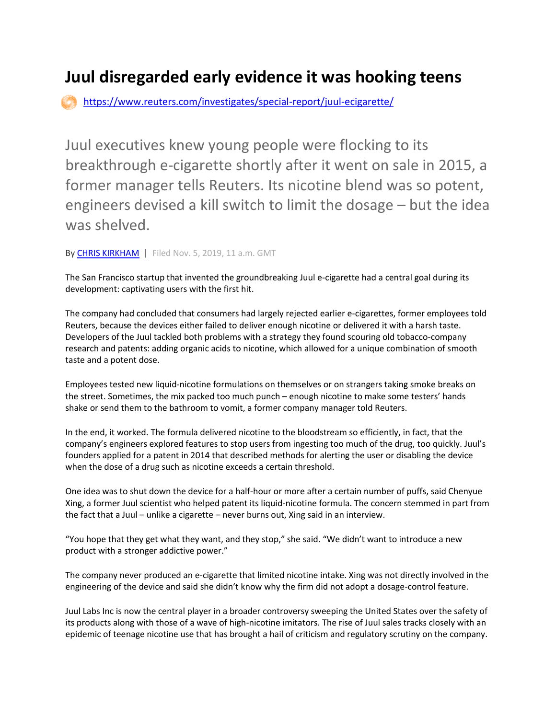#### **Juul disregarded early evidence it was hooking teens**

<https://www.reuters.com/investigates/special-report/juul-ecigarette/>

Juul executives knew young people were flocking to its breakthrough e-cigarette shortly after it went on sale in 2015, a former manager tells Reuters. Its nicotine blend was so potent, engineers devised a kill switch to limit the dosage – but the idea was shelved.

By [CHRIS KIRKHAM](mailto:chris.kirkham@thomsonreuters.com) | Filed Nov. 5, 2019, 11 a.m. GMT

The San Francisco startup that invented the groundbreaking Juul e-cigarette had a central goal during its development: captivating users with the first hit.

The company had concluded that consumers had largely rejected earlier e-cigarettes, former employees told Reuters, because the devices either failed to deliver enough nicotine or delivered it with a harsh taste. Developers of the Juul tackled both problems with a strategy they found scouring old tobacco-company research and patents: adding organic acids to nicotine, which allowed for a unique combination of smooth taste and a potent dose.

Employees tested new liquid-nicotine formulations on themselves or on strangers taking smoke breaks on the street. Sometimes, the mix packed too much punch – enough nicotine to make some testers' hands shake or send them to the bathroom to vomit, a former company manager told Reuters.

In the end, it worked. The formula delivered nicotine to the bloodstream so efficiently, in fact, that the company's engineers explored features to stop users from ingesting too much of the drug, too quickly. Juul's founders applied for a patent in 2014 that described methods for alerting the user or disabling the device when the dose of a drug such as nicotine exceeds a certain threshold.

One idea was to shut down the device for a half-hour or more after a certain number of puffs, said Chenyue Xing, a former Juul scientist who helped patent its liquid-nicotine formula. The concern stemmed in part from the fact that a Juul – unlike a cigarette – never burns out, Xing said in an interview.

"You hope that they get what they want, and they stop," she said. "We didn't want to introduce a new product with a stronger addictive power."

The company never produced an e-cigarette that limited nicotine intake. Xing was not directly involved in the engineering of the device and said she didn't know why the firm did not adopt a dosage-control feature.

Juul Labs Inc is now the central player in a broader controversy sweeping the United States over the safety of its products along with those of a wave of high-nicotine imitators. The rise of Juul sales tracks closely with an epidemic of teenage nicotine use that has brought a hail of criticism and regulatory scrutiny on the company.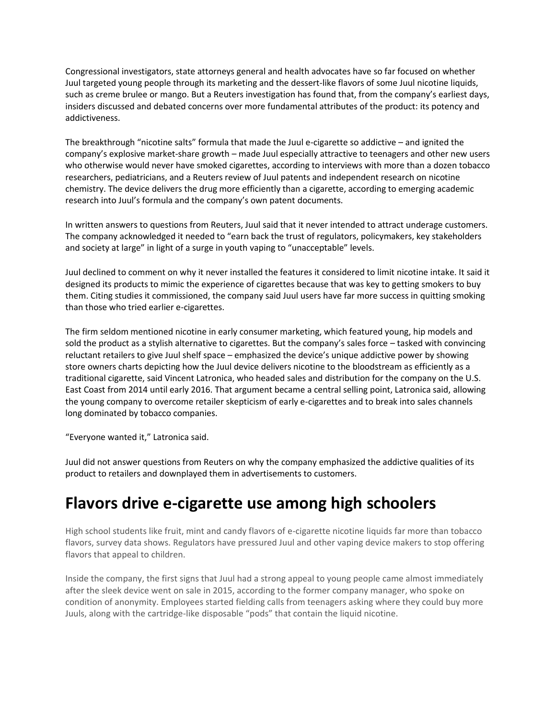Congressional investigators, state attorneys general and health advocates have so far focused on whether Juul targeted young people through its marketing and the dessert-like flavors of some Juul nicotine liquids, such as creme brulee or mango. But a Reuters investigation has found that, from the company's earliest days, insiders discussed and debated concerns over more fundamental attributes of the product: its potency and addictiveness.

The breakthrough "nicotine salts" formula that made the Juul e-cigarette so addictive – and ignited the company's explosive market-share growth – made Juul especially attractive to teenagers and other new users who otherwise would never have smoked cigarettes, according to interviews with more than a dozen tobacco researchers, pediatricians, and a Reuters review of Juul patents and independent research on nicotine chemistry. The device delivers the drug more efficiently than a cigarette, according to emerging academic research into Juul's formula and the company's own patent documents.

In written answers to questions from Reuters, Juul said that it never intended to attract underage customers. The company acknowledged it needed to "earn back the trust of regulators, policymakers, key stakeholders and society at large" in light of a surge in youth vaping to "unacceptable" levels.

Juul declined to comment on why it never installed the features it considered to limit nicotine intake. It said it designed its products to mimic the experience of cigarettes because that was key to getting smokers to buy them. Citing studies it commissioned, the company said Juul users have far more success in quitting smoking than those who tried earlier e-cigarettes.

The firm seldom mentioned nicotine in early consumer marketing, which featured young, hip models and sold the product as a stylish alternative to cigarettes. But the company's sales force – tasked with convincing reluctant retailers to give Juul shelf space – emphasized the device's unique addictive power by showing store owners charts depicting how the Juul device delivers nicotine to the bloodstream as efficiently as a traditional cigarette, said Vincent Latronica, who headed sales and distribution for the company on the U.S. East Coast from 2014 until early 2016. That argument became a central selling point, Latronica said, allowing the young company to overcome retailer skepticism of early e-cigarettes and to break into sales channels long dominated by tobacco companies.

"Everyone wanted it," Latronica said.

Juul did not answer questions from Reuters on why the company emphasized the addictive qualities of its product to retailers and downplayed them in advertisements to customers.

## **Flavors drive e-cigarette use among high schoolers**

High school students like fruit, mint and candy flavors of e-cigarette nicotine liquids far more than tobacco flavors, survey data shows. Regulators have pressured Juul and other vaping device makers to stop offering flavors that appeal to children.

Inside the company, the first signs that Juul had a strong appeal to young people came almost immediately after the sleek device went on sale in 2015, according to the former company manager, who spoke on condition of anonymity. Employees started fielding calls from teenagers asking where they could buy more Juuls, along with the cartridge-like disposable "pods" that contain the liquid nicotine.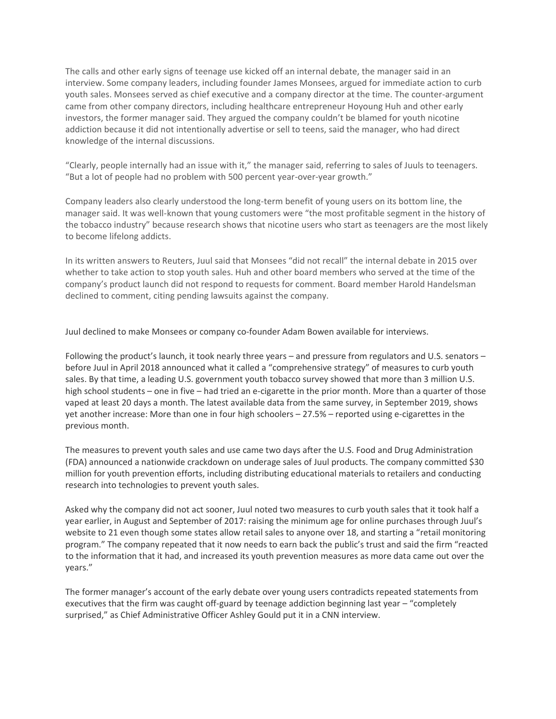The calls and other early signs of teenage use kicked off an internal debate, the manager said in an interview. Some company leaders, including founder James Monsees, argued for immediate action to curb youth sales. Monsees served as chief executive and a company director at the time. The counter-argument came from other company directors, including healthcare entrepreneur Hoyoung Huh and other early investors, the former manager said. They argued the company couldn't be blamed for youth nicotine addiction because it did not intentionally advertise or sell to teens, said the manager, who had direct knowledge of the internal discussions.

"Clearly, people internally had an issue with it," the manager said, referring to sales of Juuls to teenagers. "But a lot of people had no problem with 500 percent year-over-year growth."

Company leaders also clearly understood the long-term benefit of young users on its bottom line, the manager said. It was well-known that young customers were "the most profitable segment in the history of the tobacco industry" because research shows that nicotine users who start as teenagers are the most likely to become lifelong addicts.

In its written answers to Reuters, Juul said that Monsees "did not recall" the internal debate in 2015 over whether to take action to stop youth sales. Huh and other board members who served at the time of the company's product launch did not respond to requests for comment. Board member Harold Handelsman declined to comment, citing pending lawsuits against the company.

Juul declined to make Monsees or company co-founder Adam Bowen available for interviews.

Following the product's launch, it took nearly three years – and pressure from regulators and U.S. senators – before Juul in April 2018 announced what it called a "comprehensive strategy" of measures to curb youth sales. By that time, a leading U.S. government youth tobacco survey showed that more than 3 million U.S. high school students – one in five – had tried an e-cigarette in the prior month. More than a quarter of those vaped at least 20 days a month. The latest available data from the same survey, in September 2019, shows yet another increase: More than one in four high schoolers – 27.5% – reported using e-cigarettes in the previous month.

The measures to prevent youth sales and use came two days after the U.S. Food and Drug Administration (FDA) announced a nationwide crackdown on underage sales of Juul products. The company committed \$30 million for youth prevention efforts, including distributing educational materials to retailers and conducting research into technologies to prevent youth sales.

Asked why the company did not act sooner, Juul noted two measures to curb youth sales that it took half a year earlier, in August and September of 2017: raising the minimum age for online purchases through Juul's website to 21 even though some states allow retail sales to anyone over 18, and starting a "retail monitoring program." The company repeated that it now needs to earn back the public's trust and said the firm "reacted to the information that it had, and increased its youth prevention measures as more data came out over the years."

The former manager's account of the early debate over young users contradicts repeated statements from executives that the firm was caught off-guard by teenage addiction beginning last year – "completely surprised," as Chief Administrative Officer Ashley Gould put it in a CNN interview.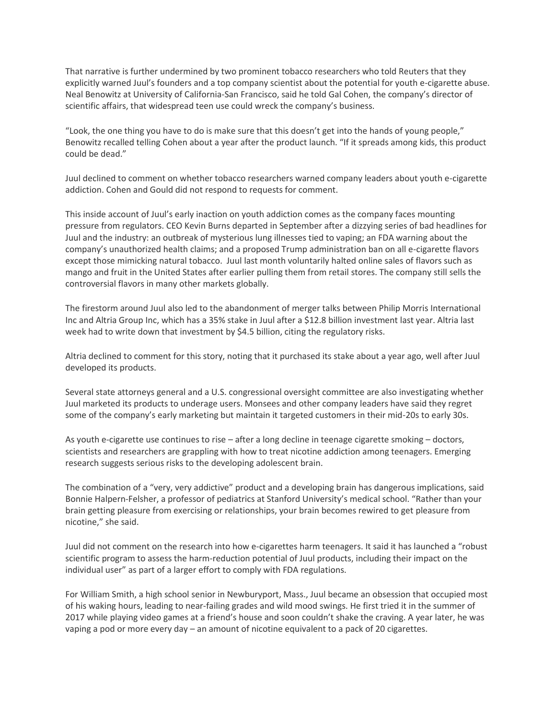That narrative is further undermined by two prominent tobacco researchers who told Reuters that they explicitly warned Juul's founders and a top company scientist about the potential for youth e-cigarette abuse. Neal Benowitz at University of California-San Francisco, said he told Gal Cohen, the company's director of scientific affairs, that widespread teen use could wreck the company's business.

"Look, the one thing you have to do is make sure that this doesn't get into the hands of young people," Benowitz recalled telling Cohen about a year after the product launch. "If it spreads among kids, this product could be dead."

Juul declined to comment on whether tobacco researchers warned company leaders about youth e-cigarette addiction. Cohen and Gould did not respond to requests for comment.

This inside account of Juul's early inaction on youth addiction comes as the company faces mounting pressure from regulators. CEO Kevin Burns departed in September after a dizzying series of bad headlines for Juul and the industry: an outbreak of mysterious lung illnesses tied to vaping; an FDA warning about the company's unauthorized health claims; and a proposed Trump administration ban on all e-cigarette flavors except those mimicking natural tobacco. Juul last month voluntarily halted online sales of flavors such as mango and fruit in the United States after earlier pulling them from retail stores. The company still sells the controversial flavors in many other markets globally.

The firestorm around Juul also led to the abandonment of merger talks between Philip Morris International Inc and Altria Group Inc, which has a 35% stake in Juul after a \$12.8 billion investment last year. Altria last week had to write down that investment by \$4.5 billion, citing the regulatory risks.

Altria declined to comment for this story, noting that it purchased its stake about a year ago, well after Juul developed its products.

Several state attorneys general and a U.S. congressional oversight committee are also investigating whether Juul marketed its products to underage users. Monsees and other company leaders have said they regret some of the company's early marketing but maintain it targeted customers in their mid-20s to early 30s.

As youth e-cigarette use continues to rise – after a long decline in teenage cigarette smoking – doctors, scientists and researchers are grappling with how to treat nicotine addiction among teenagers. Emerging research suggests serious risks to the developing adolescent brain.

The combination of a "very, very addictive" product and a developing brain has dangerous implications, said Bonnie Halpern-Felsher, a professor of pediatrics at Stanford University's medical school. "Rather than your brain getting pleasure from exercising or relationships, your brain becomes rewired to get pleasure from nicotine," she said.

Juul did not comment on the research into how e-cigarettes harm teenagers. It said it has launched a "robust scientific program to assess the harm-reduction potential of Juul products, including their impact on the individual user" as part of a larger effort to comply with FDA regulations.

For William Smith, a high school senior in Newburyport, Mass., Juul became an obsession that occupied most of his waking hours, leading to near-failing grades and wild mood swings. He first tried it in the summer of 2017 while playing video games at a friend's house and soon couldn't shake the craving. A year later, he was vaping a pod or more every day – an amount of nicotine equivalent to a pack of 20 cigarettes.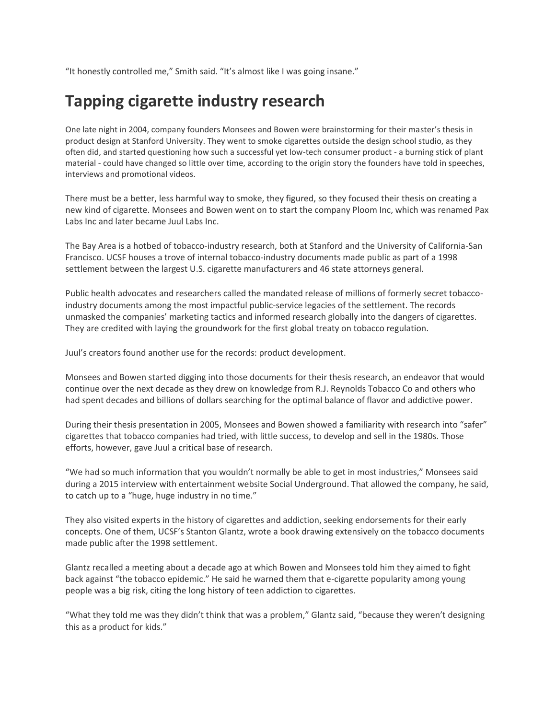"It honestly controlled me," Smith said. "It's almost like I was going insane."

## **Tapping cigarette industry research**

One late night in 2004, company founders Monsees and Bowen were brainstorming for their master's thesis in product design at Stanford University. They went to smoke cigarettes outside the design school studio, as they often did, and started questioning how such a successful yet low-tech consumer product - a burning stick of plant material - could have changed so little over time, according to the origin story the founders have told in speeches, interviews and promotional videos.

There must be a better, less harmful way to smoke, they figured, so they focused their thesis on creating a new kind of cigarette. Monsees and Bowen went on to start the company Ploom Inc, which was renamed Pax Labs Inc and later became Juul Labs Inc.

The Bay Area is a hotbed of tobacco-industry research, both at Stanford and the University of California-San Francisco. UCSF houses a trove of internal tobacco-industry documents made public as part of a 1998 settlement between the largest U.S. cigarette manufacturers and 46 state attorneys general.

Public health advocates and researchers called the mandated release of millions of formerly secret tobaccoindustry documents among the most impactful public-service legacies of the settlement. The records unmasked the companies' marketing tactics and informed research globally into the dangers of cigarettes. They are credited with laying the groundwork for the first global treaty on tobacco regulation.

Juul's creators found another use for the records: product development.

Monsees and Bowen started digging into those documents for their thesis research, an endeavor that would continue over the next decade as they drew on knowledge from R.J. Reynolds Tobacco Co and others who had spent decades and billions of dollars searching for the optimal balance of flavor and addictive power.

During their thesis presentation in 2005, Monsees and Bowen showed a familiarity with research into "safer" cigarettes that tobacco companies had tried, with little success, to develop and sell in the 1980s. Those efforts, however, gave Juul a critical base of research.

"We had so much information that you wouldn't normally be able to get in most industries," Monsees said during a 2015 interview with entertainment website Social Underground. That allowed the company, he said, to catch up to a "huge, huge industry in no time."

They also visited experts in the history of cigarettes and addiction, seeking endorsements for their early concepts. One of them, UCSF's Stanton Glantz, wrote a book drawing extensively on the tobacco documents made public after the 1998 settlement.

Glantz recalled a meeting about a decade ago at which Bowen and Monsees told him they aimed to fight back against "the tobacco epidemic." He said he warned them that e-cigarette popularity among young people was a big risk, citing the long history of teen addiction to cigarettes.

"What they told me was they didn't think that was a problem," Glantz said, "because they weren't designing this as a product for kids."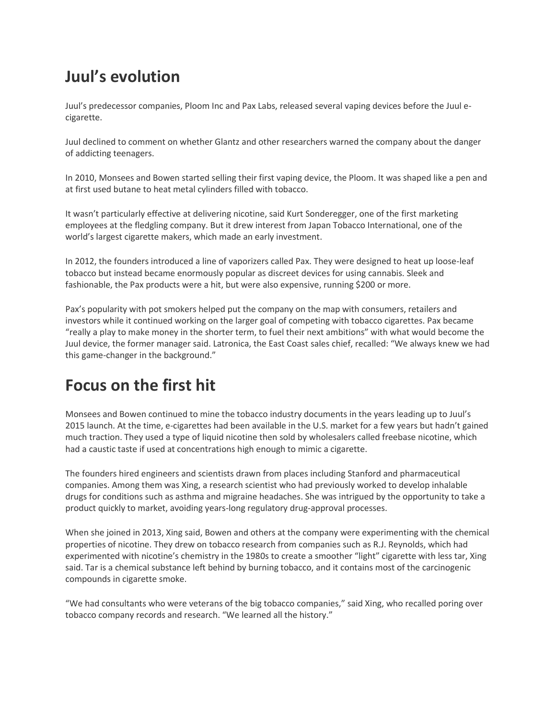# **Juul's evolution**

Juul's predecessor companies, Ploom Inc and Pax Labs, released several vaping devices before the Juul ecigarette.

Juul declined to comment on whether Glantz and other researchers warned the company about the danger of addicting teenagers.

In 2010, Monsees and Bowen started selling their first vaping device, the Ploom. It was shaped like a pen and at first used butane to heat metal cylinders filled with tobacco.

It wasn't particularly effective at delivering nicotine, said Kurt Sonderegger, one of the first marketing employees at the fledgling company. But it drew interest from Japan Tobacco International, one of the world's largest cigarette makers, which made an early investment.

In 2012, the founders introduced a line of vaporizers called Pax. They were designed to heat up loose-leaf tobacco but instead became enormously popular as discreet devices for using cannabis. Sleek and fashionable, the Pax products were a hit, but were also expensive, running \$200 or more.

Pax's popularity with pot smokers helped put the company on the map with consumers, retailers and investors while it continued working on the larger goal of competing with tobacco cigarettes. Pax became "really a play to make money in the shorter term, to fuel their next ambitions" with what would become the Juul device, the former manager said. Latronica, the East Coast sales chief, recalled: "We always knew we had this game-changer in the background."

# **Focus on the first hit**

Monsees and Bowen continued to mine the tobacco industry documents in the years leading up to Juul's 2015 launch. At the time, e-cigarettes had been available in the U.S. market for a few years but hadn't gained much traction. They used a type of liquid nicotine then sold by wholesalers called freebase nicotine, which had a caustic taste if used at concentrations high enough to mimic a cigarette.

The founders hired engineers and scientists drawn from places including Stanford and pharmaceutical companies. Among them was Xing, a research scientist who had previously worked to develop inhalable drugs for conditions such as asthma and migraine headaches. She was intrigued by the opportunity to take a product quickly to market, avoiding years-long regulatory drug-approval processes.

When she joined in 2013, Xing said, Bowen and others at the company were experimenting with the chemical properties of nicotine. They drew on tobacco research from companies such as R.J. Reynolds, which had experimented with nicotine's chemistry in the 1980s to create a smoother "light" cigarette with less tar, Xing said. Tar is a chemical substance left behind by burning tobacco, and it contains most of the carcinogenic compounds in cigarette smoke.

"We had consultants who were veterans of the big tobacco companies," said Xing, who recalled poring over tobacco company records and research. "We learned all the history."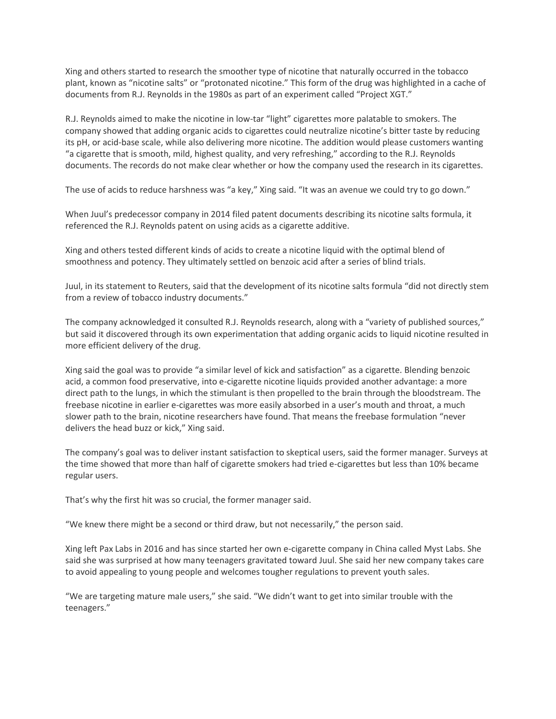Xing and others started to research the smoother type of nicotine that naturally occurred in the tobacco plant, known as "nicotine salts" or "protonated nicotine." This form of the drug was highlighted in a cache of documents from R.J. Reynolds in the 1980s as part of an experiment called "Project XGT."

R.J. Reynolds aimed to make the nicotine in low-tar "light" cigarettes more palatable to smokers. The company showed that adding organic acids to cigarettes could neutralize nicotine's bitter taste by reducing its pH, or acid-base scale, while also delivering more nicotine. The addition would please customers wanting "a cigarette that is smooth, mild, highest quality, and very refreshing," according to the R.J. Reynolds documents. The records do not make clear whether or how the company used the research in its cigarettes.

The use of acids to reduce harshness was "a key," Xing said. "It was an avenue we could try to go down."

When Juul's predecessor company in 2014 filed patent documents describing its nicotine salts formula, it referenced the R.J. Reynolds patent on using acids as a cigarette additive.

Xing and others tested different kinds of acids to create a nicotine liquid with the optimal blend of smoothness and potency. They ultimately settled on benzoic acid after a series of blind trials.

Juul, in its statement to Reuters, said that the development of its nicotine salts formula "did not directly stem from a review of tobacco industry documents."

The company acknowledged it consulted R.J. Reynolds research, along with a "variety of published sources," but said it discovered through its own experimentation that adding organic acids to liquid nicotine resulted in more efficient delivery of the drug.

Xing said the goal was to provide "a similar level of kick and satisfaction" as a cigarette. Blending benzoic acid, a common food preservative, into e-cigarette nicotine liquids provided another advantage: a more direct path to the lungs, in which the stimulant is then propelled to the brain through the bloodstream. The freebase nicotine in earlier e-cigarettes was more easily absorbed in a user's mouth and throat, a much slower path to the brain, nicotine researchers have found. That means the freebase formulation "never delivers the head buzz or kick," Xing said.

The company's goal was to deliver instant satisfaction to skeptical users, said the former manager. Surveys at the time showed that more than half of cigarette smokers had tried e-cigarettes but less than 10% became regular users.

That's why the first hit was so crucial, the former manager said.

"We knew there might be a second or third draw, but not necessarily," the person said.

Xing left Pax Labs in 2016 and has since started her own e-cigarette company in China called Myst Labs. She said she was surprised at how many teenagers gravitated toward Juul. She said her new company takes care to avoid appealing to young people and welcomes tougher regulations to prevent youth sales.

"We are targeting mature male users," she said. "We didn't want to get into similar trouble with the teenagers."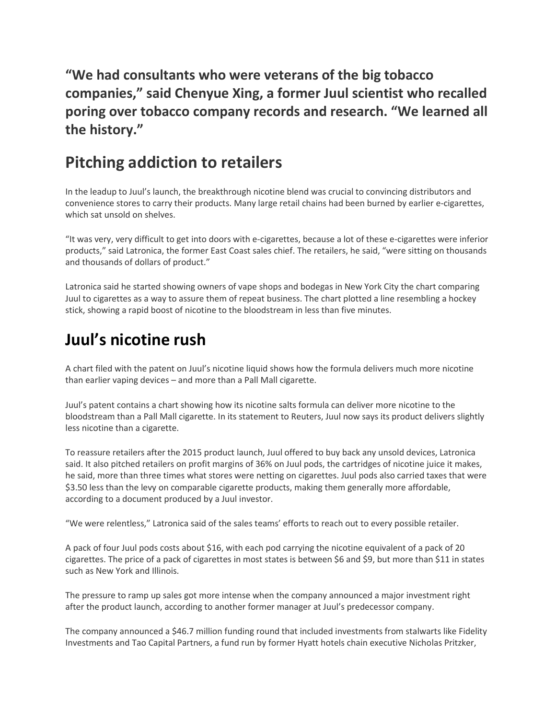**"We had consultants who were veterans of the big tobacco companies," said Chenyue Xing, a former Juul scientist who recalled poring over tobacco company records and research. "We learned all the history."**

## **Pitching addiction to retailers**

In the leadup to Juul's launch, the breakthrough nicotine blend was crucial to convincing distributors and convenience stores to carry their products. Many large retail chains had been burned by earlier e-cigarettes, which sat unsold on shelves.

"It was very, very difficult to get into doors with e-cigarettes, because a lot of these e-cigarettes were inferior products," said Latronica, the former East Coast sales chief. The retailers, he said, "were sitting on thousands and thousands of dollars of product."

Latronica said he started showing owners of vape shops and bodegas in New York City the chart comparing Juul to cigarettes as a way to assure them of repeat business. The chart plotted a line resembling a hockey stick, showing a rapid boost of nicotine to the bloodstream in less than five minutes.

# **Juul's nicotine rush**

A chart filed with the patent on Juul's nicotine liquid shows how the formula delivers much more nicotine than earlier vaping devices – and more than a Pall Mall cigarette.

Juul's patent contains a chart showing how its nicotine salts formula can deliver more nicotine to the bloodstream than a Pall Mall cigarette. In its statement to Reuters, Juul now says its product delivers slightly less nicotine than a cigarette.

To reassure retailers after the 2015 product launch, Juul offered to buy back any unsold devices, Latronica said. It also pitched retailers on profit margins of 36% on Juul pods, the cartridges of nicotine juice it makes, he said, more than three times what stores were netting on cigarettes. Juul pods also carried taxes that were \$3.50 less than the levy on comparable cigarette products, making them generally more affordable, according to a document produced by a Juul investor.

"We were relentless," Latronica said of the sales teams' efforts to reach out to every possible retailer.

A pack of four Juul pods costs about \$16, with each pod carrying the nicotine equivalent of a pack of 20 cigarettes. The price of a pack of cigarettes in most states is between \$6 and \$9, but more than \$11 in states such as New York and Illinois.

The pressure to ramp up sales got more intense when the company announced a major investment right after the product launch, according to another former manager at Juul's predecessor company.

The company announced a \$46.7 million funding round that included investments from stalwarts like Fidelity Investments and Tao Capital Partners, a fund run by former Hyatt hotels chain executive Nicholas Pritzker,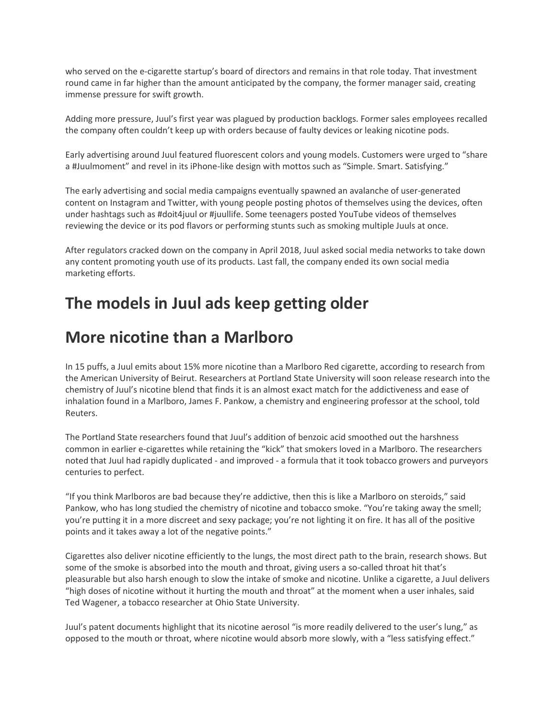who served on the e-cigarette startup's board of directors and remains in that role today. That investment round came in far higher than the amount anticipated by the company, the former manager said, creating immense pressure for swift growth.

Adding more pressure, Juul's first year was plagued by production backlogs. Former sales employees recalled the company often couldn't keep up with orders because of faulty devices or leaking nicotine pods.

Early advertising around Juul featured fluorescent colors and young models. Customers were urged to "share a #Juulmoment" and revel in its iPhone-like design with mottos such as "Simple. Smart. Satisfying."

The early advertising and social media campaigns eventually spawned an avalanche of user-generated content on Instagram and Twitter, with young people posting photos of themselves using the devices, often under hashtags such as #doit4juul or #juullife. Some teenagers posted YouTube videos of themselves reviewing the device or its pod flavors or performing stunts such as smoking multiple Juuls at once.

After regulators cracked down on the company in April 2018, Juul asked social media networks to take down any content promoting youth use of its products. Last fall, the company ended its own social media marketing efforts.

#### **The models in Juul ads keep getting older**

#### **More nicotine than a Marlboro**

In 15 puffs, a Juul emits about 15% more nicotine than a Marlboro Red cigarette, according to research from the American University of Beirut. Researchers at Portland State University will soon release research into the chemistry of Juul's nicotine blend that finds it is an almost exact match for the addictiveness and ease of inhalation found in a Marlboro, James F. Pankow, a chemistry and engineering professor at the school, told Reuters.

The Portland State researchers found that Juul's addition of benzoic acid smoothed out the harshness common in earlier e-cigarettes while retaining the "kick" that smokers loved in a Marlboro. The researchers noted that Juul had rapidly duplicated - and improved - a formula that it took tobacco growers and purveyors centuries to perfect.

"If you think Marlboros are bad because they're addictive, then this is like a Marlboro on steroids," said Pankow, who has long studied the chemistry of nicotine and tobacco smoke. "You're taking away the smell; you're putting it in a more discreet and sexy package; you're not lighting it on fire. It has all of the positive points and it takes away a lot of the negative points."

Cigarettes also deliver nicotine efficiently to the lungs, the most direct path to the brain, research shows. But some of the smoke is absorbed into the mouth and throat, giving users a so-called throat hit that's pleasurable but also harsh enough to slow the intake of smoke and nicotine. Unlike a cigarette, a Juul delivers "high doses of nicotine without it hurting the mouth and throat" at the moment when a user inhales, said Ted Wagener, a tobacco researcher at Ohio State University.

Juul's patent documents highlight that its nicotine aerosol "is more readily delivered to the user's lung," as opposed to the mouth or throat, where nicotine would absorb more slowly, with a "less satisfying effect."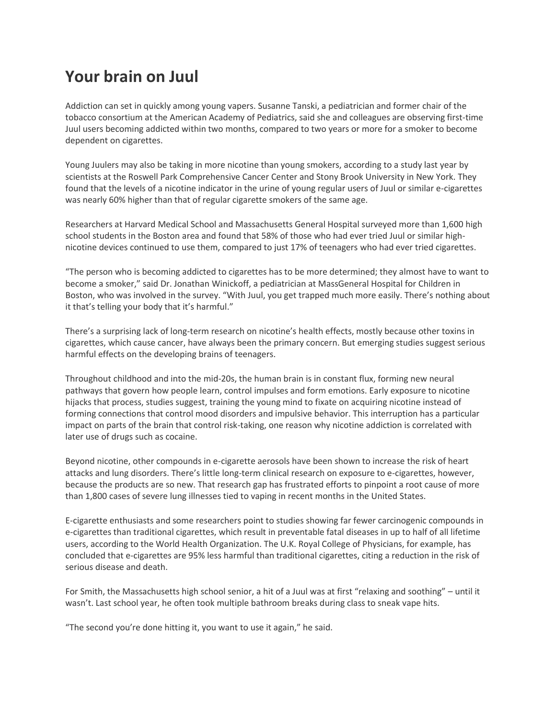# **Your brain on Juul**

Addiction can set in quickly among young vapers. Susanne Tanski, a pediatrician and former chair of the tobacco consortium at the American Academy of Pediatrics, said she and colleagues are observing first-time Juul users becoming addicted within two months, compared to two years or more for a smoker to become dependent on cigarettes.

Young Juulers may also be taking in more nicotine than young smokers, according to a study last year by scientists at the Roswell Park Comprehensive Cancer Center and Stony Brook University in New York. They found that the levels of a nicotine indicator in the urine of young regular users of Juul or similar e-cigarettes was nearly 60% higher than that of regular cigarette smokers of the same age.

Researchers at Harvard Medical School and Massachusetts General Hospital surveyed more than 1,600 high school students in the Boston area and found that 58% of those who had ever tried Juul or similar highnicotine devices continued to use them, compared to just 17% of teenagers who had ever tried cigarettes.

"The person who is becoming addicted to cigarettes has to be more determined; they almost have to want to become a smoker," said Dr. Jonathan Winickoff, a pediatrician at MassGeneral Hospital for Children in Boston, who was involved in the survey. "With Juul, you get trapped much more easily. There's nothing about it that's telling your body that it's harmful."

There's a surprising lack of long-term research on nicotine's health effects, mostly because other toxins in cigarettes, which cause cancer, have always been the primary concern. But emerging studies suggest serious harmful effects on the developing brains of teenagers.

Throughout childhood and into the mid-20s, the human brain is in constant flux, forming new neural pathways that govern how people learn, control impulses and form emotions. Early exposure to nicotine hijacks that process, studies suggest, training the young mind to fixate on acquiring nicotine instead of forming connections that control mood disorders and impulsive behavior. This interruption has a particular impact on parts of the brain that control risk-taking, one reason why nicotine addiction is correlated with later use of drugs such as cocaine.

Beyond nicotine, other compounds in e-cigarette aerosols have been shown to increase the risk of heart attacks and lung disorders. There's little long-term clinical research on exposure to e-cigarettes, however, because the products are so new. That research gap has frustrated efforts to pinpoint a root cause of more than 1,800 cases of severe lung illnesses tied to vaping in recent months in the United States.

E-cigarette enthusiasts and some researchers point to studies showing far fewer carcinogenic compounds in e-cigarettes than traditional cigarettes, which result in preventable fatal diseases in up to half of all lifetime users, according to the World Health Organization. The U.K. Royal College of Physicians, for example, has concluded that e-cigarettes are 95% less harmful than traditional cigarettes, citing a reduction in the risk of serious disease and death.

For Smith, the Massachusetts high school senior, a hit of a Juul was at first "relaxing and soothing" – until it wasn't. Last school year, he often took multiple bathroom breaks during class to sneak vape hits.

"The second you're done hitting it, you want to use it again," he said.